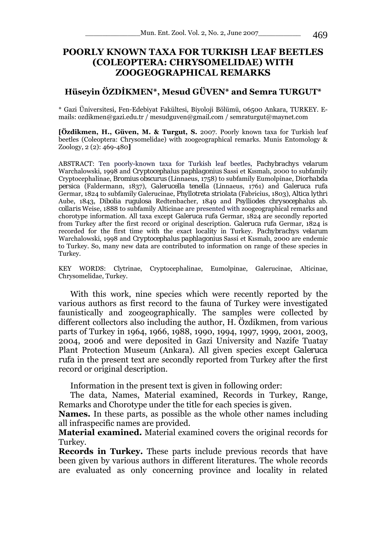# **POORLY KNOWN TAXA FOR TURKISH LEAF BEETLES (COLEOPTERA: CHRYSOMELIDAE) WITH ZOOGEOGRAPHICAL REMARKS**

## **Hüseyin ÖZDİKMEN\*, Mesud GÜVEN\* and Semra TURGUT\***

\* Gazi Üniversitesi, Fen-Edebiyat Fakültesi, Biyoloji Bölümü, 06500 Ankara, TURKEY. Emails: ozdikmen@gazi.edu.tr / mesudguven@gmail.com / semraturgut@maynet.com

**[Özdikmen, H., Güven, M. & Turgut, S.** 2007. Poorly known taxa for Turkish leaf beetles (Coleoptera: Chrysomelidae) with zoogeographical remarks. Munis Entomology & Zoology, 2 (2): 469-480**]**

ABSTRACT: Ten poorly-known taxa for Turkish leaf beetles, *Pachybrachys velarum* Warchalowski, 1998 and *Cryptocephalus paphlagonius* Sassi et Kısmalı, 2000 to subfamily Cryptocephalinae, *Bromius obscurus* (Linnaeus, 1758) to subfamily Eumolpinae, *Diorhabda persica* (Faldermann, 1837), *Galerucella tenella* (Linnaeus, 1761) and *Galeruca rufa* Germar, 1824 to subfamily Galerucinae, *Phyllotreta striolata* (Fabricius, 1803), *Altica lythri*  Aube, 1843, *Dibolia rugulosa* Redtenbacher, 1849 and *Psylliodes chrysocephalus* ab. *collaris* Weise, 1888 to subfamily Alticinae are presented with zoogeographical remarks and chorotype information. All taxa except *Galeruca rufa* Germar, 1824 are secondly reported from Turkey after the first record or original description. *Galeruca rufa* Germar, 1824 is recorded for the first time with the exact locality in Turkey. *Pachybrachys velarum* Warchalowski, 1998 and *Cryptocephalus paphlagonius* Sassi et Kısmalı, 2000 are endemic to Turkey. So, many new data are contributed to information on range of these species in Turkey.

KEY WORDS: Clytrinae, Cryptocephalinae, Eumolpinae, Galerucinae, Alticinae, Chrysomelidae, Turkey.

With this work, nine species which were recently reported by the various authors as first record to the fauna of Turkey were investigated faunistically and zoogeographically. The samples were collected by different collectors also including the author, H. Özdikmen, from various parts of Turkey in 1964, 1966, 1988, 1990, 1994, 1997, 1999, 2001, 2003, 2004, 2006 and were deposited in Gazi University and Nazife Tuatay Plant Protection Museum (Ankara). All given species except *Galeruca rufa* in the present text are secondly reported from Turkey after the first record or original description.

Information in the present text is given in following order:

The data, Names, Material examined, Records in Turkey, Range, Remarks and Chorotype under the title for each species is given.

**Names.** In these parts, as possible as the whole other names including all infraspecific names are provided.

**Material examined.** Material examined covers the original records for Turkey.

**Records in Turkey.** These parts include previous records that have been given by various authors in different literatures. The whole records are evaluated as only concerning province and locality in related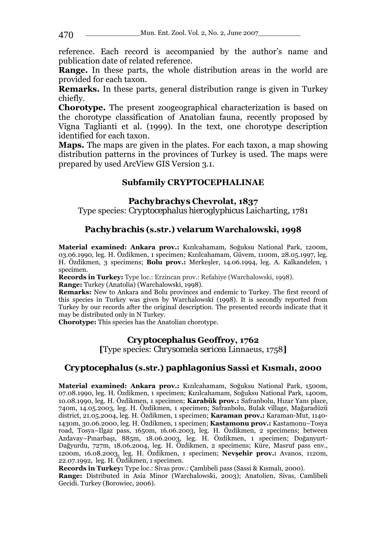reference. Each record is accompanied by the author's name and publication date of related reference.

**Range.** In these parts, the whole distribution areas in the world are provided for each taxon.

**Remarks.** In these parts, general distribution range is given in Turkey chiefly.

**Chorotype.** The present zoogeographical characterization is based on the chorotype classification of Anatolian fauna, recently proposed by Vigna Taglianti et al. (1999). In the text, one chorotype description identified for each taxon.

**Maps.** The maps are given in the plates. For each taxon, a map showing distribution patterns in the provinces of Turkey is used. The maps were prepared by used ArcView GIS Version 3.1.

# **Subfamily CRYPTOCEPHALINAE**

# *Pachybrachys* **Chevrolat, 1837**

Type species: *Cryptocephalus hieroglyphicus* Laicharting, 1781

# *Pachybrachis* **(s.str.)** *velarum* **Warchalowski, 1998**

**Material examined: Ankara prov.:** Kızılcahamam, Soğuksu National Park, 1200m, 03.06.1990, leg. H. Özdikmen, 1 specimen; Kızılcahamam, Güvem, 1100m, 28.05.1997, leg. H. Özdikmen, 3 specimens; **Bolu prov.:** Merkeşler, 14.06.1994, leg. A. Kalkandelen, 1 specimen.

**Records in Turkey:** Type loc.: Erzincan prov.: Refahiye (Warchalowski, 1998). **Range:** Turkey (Anatolia) (Warchalowski, 1998).

**Remarks:** New to Ankara and Bolu provinces and endemic to Turkey. The first record of this species in Turkey was given by Warchalowski (1998). It is secondly reported from Turkey by our records after the original description. The presented records indicate that it may be distributed only in N Turkey.

**Chorotype:** This species has the Anatolian chorotype.

## *Cryptocephalus* **Geoffroy, 1762**

**[**Type species: *Chrysomela sericea* Linnaeus, 1758**]**

# *Cryptocephalus* **(s.str.)** *paphlagonius* **Sassi et Kısmalı, 2000**

**Material examined: Ankara prov.:** Kızılcahamam, Soğuksu National Park, 1500m, 07.08.1990, leg. H. Özdikmen, 1 specimen; Kızılcahamam, Soğuksu National Park, 1400m, 10.08.1990, leg. H. Özdikmen, 1 specimen; **Karabük prov.:** Safranbolu, Hızar Yanı place, 740m, 14.05.2003, leg. H. Özdikmen, 1 specimen; Safranbolu, Bulak village, Mağaradüzü district, 21.05.2004, leg. H. Özdikmen, 1 specimen; **Karaman prov.:** Karaman-Mut, 1140- 1430m, 30.06.2000, leg. H. Özdikmen, 1 specimen; **Kastamonu prov.:** Kastamonu–Tosya road, Tosya–Ilgaz pass, 1650m, 16.06.2003, leg. H. Özdikmen, 2 specimens; between Azdavay–Pınarbaşı, 885m, 18.06.2003, leg. H. Özdikmen, 1 specimen; Doğanyurt-Dağyurdu, 727m, 18.06.2004, leg. H. Özdikmen, 2 specimens; Küre, Masruf pass env., 1200m, 16.08.2003, leg. H. Özdikmen, 1 specimen; **Nevşehir prov.:** Avanos, 1120m, 22.07.1992, leg. H. Özdikmen, 1 specimen.

**Records in Turkey:** Type loc.: Sivas prov.: Çamlıbeli pass (Sassi & Kısmalı, 2000).

**Range:** Distributed in Asia Minor (Warchalowski, 2003); Anatolien, Sivas, Camlibeli Gecidi. Turkey (Borowiec, 2006).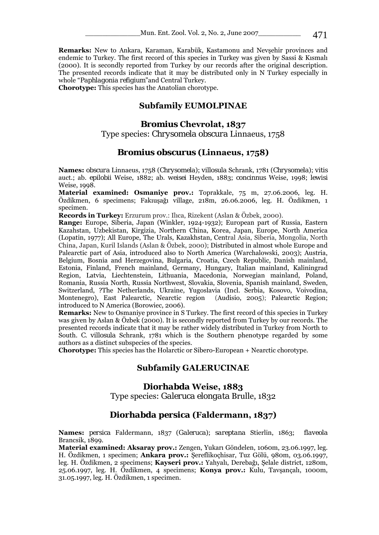**Remarks:** New to Ankara, Karaman, Karabük, Kastamonu and Nevşehir provinces and endemic to Turkey. The first record of this species in Turkey was given by Sassi & Kısmalı (2000). It is secondly reported from Turkey by our records after the original description. The presented records indicate that it may be distributed only in N Turkey especially in whole "*Paphlagonia refigium*"and Central Turkey.

**Chorotype:** This species has the Anatolian chorotype.

### **Subfamily EUMOLPINAE**

#### *Bromius* **Chevrolat, 1837**

Type species: *Chrysomela obscura* Linnaeus, 1758

### *Bromius obscurus* **(Linnaeus, 1758)**

**Names:** *obscura* Linnaeus, 1758 (*Chrysomela*); *villosula* Schrank, 1781 (*Chrysomela*); *vitis*  auct.; ab. *epilobii* Weise, 1882; ab. *weisei* Heyden, 1883; *concinnus* Weise, 1998; *lewisi*  Weise, 1998.

**Material examined: Osmaniye prov.:** Toprakkale, 75 m, 27.06.2006, leg. H. Özdikmen, 6 specimens; Fakıuşağı village, 218m, 26.06.2006, leg. H. Özdikmen, 1 specimen.

**Records in Turkey:** Erzurum prov.: Ilıca, Rizekent (Aslan & Özbek, 2000).

**Range:** Europe, Siberia, Japan (Winkler, 1924-1932); European part of Russia, Eastern Kazahstan, Uzbekistan, Kirgizia, Northern China, Korea, Japan, Europe, North America (Lopatin, 1977); All Europe, The Urals, Kazakhstan, Central Asia, Siberia, Mongolia, North China, Japan, Kuril Islands (Aslan & Özbek, 2000); Distributed in almost whole Europe and Palearctic part of Asia, introduced also to North America (Warchalowski, 2003); Austria, Belgium, Bosnia and Herzegovina, Bulgaria, Croatia, Czech Republic, Danish mainland, Estonia, Finland, French mainland, Germany, Hungary, Italian mainland, Kaliningrad Region, Latvia, Liechtenstein, Lithuania, Macedonia, Norwegian mainland, Poland, Romania, Russia North, Russia Northwest, Slovakia, Slovenia, Spanish mainland, Sweden, Switzerland, ?The Netherlands, Ukraine, Yugoslavia (Incl. Serbia, Kosovo, Voivodina, Montenegro), East Palearctic, Nearctic region (Audisio, 2005); Palearctic Region; introduced to N America (Borowiec, 2006).

**Remarks:** New to Osmaniye province in S Turkey. The first record of this species in Turkey was given by Aslan & Özbek (2000). It is secondly reported from Turkey by our records. The presented records indicate that it may be rather widely distributed in Turkey from North to South. *C. villosula* Schrank, 1781 which is the Southern phenotype regarded by some authors as a distinct subspecies of the species.

**Chorotype:** This species has the Holarctic or Sibero-European + Nearctic chorotype.

### **Subfamily GALERUCINAE**

## *Diorhabda* **Weise, 1883**

Type species: *Galeruca elongata* Brulle, 1832

## *Diorhabda persica* **(Faldermann, 1837)**

**Names:** *persica* Faldermann, 1837 (*Galeruca*); *sareptana* Stierlin, 1863; *flaveola*  Brancsik, 1899.

**Material examined: Aksaray prov.:** Zengen, Yukarı Göndelen, 1060m, 23.06.1997, leg. H. Özdikmen, 1 specimen; **Ankara prov.:** Şereflikoçhisar, Tuz Gölü, 980m, 03.06.1997, leg. H. Özdikmen, 2 specimens; **Kayseri prov.:** Yahyalı, Derebağı, Şelale district, 1280m, 25.06.1997, leg. H. Özdikmen, 4 specimens; **Konya prov.:** Kulu, Tavşançalı, 1000m, 31.05.1997, leg. H. Özdikmen, 1 specimen.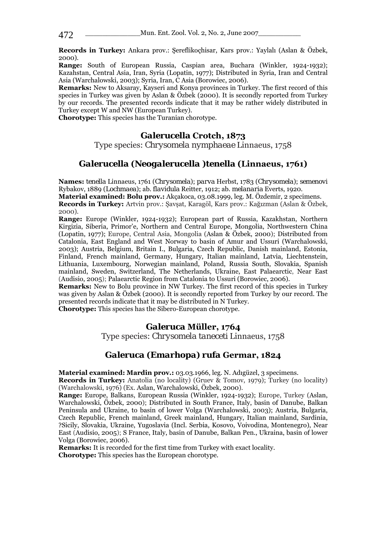**Records in Turkey:** Ankara prov.: Şereflikoçhisar, Kars prov.: Yaylalı (Aslan & Özbek, 2000).

**Range:** South of European Russia, Caspian area, Buchara (Winkler, 1924-1932); Kazahstan, Central Asia, Iran, Syria (Lopatin, 1977); Distributed in Syria, Iran and Central Asia (Warchalowski, 2003); Syria, Iran, C Asia (Borowiec, 2006).

**Remarks:** New to Aksaray, Kayseri and Konya provinces in Turkey. The first record of this species in Turkey was given by Aslan & Özbek (2000). It is secondly reported from Turkey by our records. The presented records indicate that it may be rather widely distributed in Turkey except W and NW (European Turkey).

**Chorotype:** This species has the Turanian chorotype.

### *Galerucella* **Crotch, 1873**

Type species: *Chrysomela nymphaeae* Linnaeus, 1758

## *Galerucella* **(***Neogalerucella* **)***tenella* **(Linnaeus, 1761)**

**Names:** *tenella* Linnaeus, 1761 (*Chrysomela*); *parva* Herbst, 1783 (*Chrysomela*); *semenovi*  Rybakov, 1889 (*Lochmaea*); ab. *flavidula* Reitter, 1912; ab. *melanaria* Everts, 1920. **Material examined: Bolu prov.:** Akçakoca, 03.08.1999, leg. M. Özdemir, 2 specimens.

**Records in Turkey:** Artvin prov.: Şavşat, Karagöl, Kars prov.: Kağızman (Aslan & Özbek, 2000).

**Range:** Europe (Winkler, 1924-1932); European part of Russia, Kazakhstan, Northern Kirgizia, Siberia, Primor'e, Northern and Central Europe, Mongolia, Northwestern China (Lopatin, 1977); Europe, Central Asia, Mongolia (Aslan & Özbek, 2000); Distributed from Catalonia, East England and West Norway to basin of Amur and Ussuri (Warchalowski, 2003); Austria, Belgium, Britain I., Bulgaria, Czech Republic, Danish mainland, Estonia, Finland, French mainland, Germany, Hungary, Italian mainland, Latvia, Liechtenstein, Lithuania, Luxembourg, Norwegian mainland, Poland, Russia South, Slovakia, Spanish mainland, Sweden, Switzerland, The Netherlands, Ukraine, East Palaearctic, Near East (Audisio, 2005); Palaearctic Region from Catalonia to Ussuri (Borowiec, 2006).

**Remarks:** New to Bolu province in NW Turkey. The first record of this species in Turkey was given by Aslan & Özbek (2000). It is secondly reported from Turkey by our record. The presented records indicate that it may be distributed in N Turkey.

**Chorotype:** This species has the Sibero-European chorotype.

## *Galeruca* **Müller, 1764**

Type species: *Chrysomela taneceti* Linnaeus, 1758

### *Galeruca* **(***Emarhopa***)** *rufa* **Germar, 1824**

**Material examined: Mardin prov.:** 03.03.1966, leg. N. Adıgüzel, 3 specimens.

**Records in Turkey:** Anatolia (no locality) (Gruev & Tomov, 1979); Turkey (no locality) (Warchalowski, 1976) (Ex. Aslan, Warchalowski, Özbek, 2000).

**Range:** Europe, Balkans, European Russia (Winkler, 1924-1932); Europe, Turkey (Aslan, Warchalowski, Özbek, 2000); Distributed in South France, Italy, basin of Danube, Balkan Peninsula and Ukraine, to basin of lower Volga (Warchalowski, 2003); Austria, Bulgaria, Czech Republic, French mainland, Greek mainland, Hungary, Italian mainland, Sardinia, ?Sicily, Slovakia, Ukraine, Yugoslavia (Incl. Serbia, Kosovo, Voivodina, Montenegro), Near East (Audisio, 2005); S France, Italy, basin of Danube, Balkan Pen., Ukraina, basin of lower Volga (Borowiec, 2006).

**Remarks:** It is recorded for the first time from Turkey with exact locality.

**Chorotype:** This species has the European chorotype.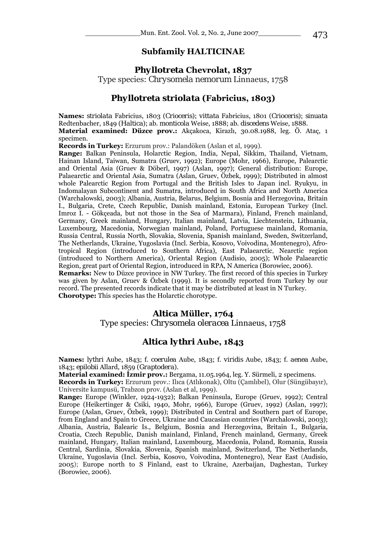### **Subfamily HALTICINAE**

# *Phyllotreta* **Chevrolat, 1837**  Type species: *Chrysomela nemorum* Linnaeus, 1758

#### *Phyllotreta striolata* **(Fabricius, 1803)**

**Names:** *striolata* Fabricius, 1803 (*Crioceris*); *vittata* Fabricius, 1801 (*Crioceris*); *sinuata*  Redtenbacher, 1849 (*Haltica*); ab. *monticola* Weise, 1888; ab. *discedens* Weise, 1888. **Material examined: Düzce prov.:** Akçakoca, Kirazlı, 30.08.1988, leg. Ö. Ataç, 1 specimen.

**Records in Turkey:** Erzurum prov.: Palandöken (Aslan et al, 1999).

**Range:** Balkan Peninsula, Holarctic Region, India, Nepal, Sikkim, Thailand, Vietnam, Hainan Island, Taiwan, Sumatra (Gruev, 1992); Europe (Mohr, 1966), Europe, Palearctic and Oriental Asia (Gruev & Döberl, 1997) (Aslan, 1997); General distribution: Europe, Palaearctic and Oriental Asia, Sumatra (Aslan, Gruev, Özbek, 1999); Distributed in almost whole Palearctic Region from Portugal and the British Isles to Japan incl. Ryukyu, in Indomalayan Subcontinent and Sumatra, introduced in South Africa and North America (Warchalowski, 2003); Albania, Austria, Belarus, Belgium, Bosnia and Herzegovina, Britain I., Bulgaria, Crete, Czech Republic, Danish mainland, Estonia, European Turkey (Incl. Imroz I. - Gökçeada, but not those in the Sea of Marmara), Finland, French mainland, Germany, Greek mainland, Hungary, Italian mainland, Latvia, Liechtenstein, Lithuania, Luxembourg, Macedonia, Norwegian mainland, Poland, Portuguese mainland, Romania, Russia Central, Russia North, Slovakia, Slovenia, Spanish mainland, Sweden, Switzerland, The Netherlands, Ukraine, Yugoslavia (Incl. Serbia, Kosovo, Voivodina, Montenegro), Afrotropical Region (introduced to Southern Africa), East Palaearctic, Nearctic region (introduced to Northern America), Oriental Region (Audisio, 2005); Whole Palaearctic Region, great part of Oriental Region, introduced in RPA, N America (Borowiec, 2006). **Remarks:** New to Düzce province in NW Turkey. The first record of this species in Turkey was given by Aslan, Gruev & Özbek (1999). It is secondly reported from Turkey by our record. The presented records indicate that it may be distributed at least in N Turkey.

**Chorotype:** This species has the Holarctic chorotype.

#### *Altica* **Müller, 1764**

Type species: *Chrysomela oleracea* Linnaeus, 1758

### *Altica lythri* **Aube, 1843**

**Names:** *lythri* Aube, 1843; f. *coerulea* Aube, 1843; f. *viridis* Aube, 1843; f. *aenea* Aube, 1843; *epilobii* Allard, 1859 (*Graptodera*).

**Material examined: İzmir prov.:** Bergama, 11.05.1964, leg. Y. Sürmeli, 2 specimens.

**Records in Turkey:** Erzurum prov.: Ilıca (Atlıkonak), Oltu (Çamlıbel), Olur (Süngübayır), Universite kampusü, Trabzon prov. (Aslan et al, 1999).

**Range:** Europe (Winkler, 1924-1932); Balkan Peninsula, Europe (Gruev, 1992); Central Europe (Heikertinger & Csiki, 1940, Mohr, 1966), Europe (Gruev, 1992) (Aslan, 1997); Europe (Aslan, Gruev, Özbek, 1999); Distributed in Central and Southern part of Europe, from England and Spain to Greece, Ukraine and Caucasian countries (Warchalowski, 2003); Albania, Austria, Balearic Is., Belgium, Bosnia and Herzegovina, Britain I., Bulgaria, Croatia, Czech Republic, Danish mainland, Finland, French mainland, Germany, Greek mainland, Hungary, Italian mainland, Luxembourg, Macedonia, Poland, Romania, Russia Central, Sardinia, Slovakia, Slovenia, Spanish mainland, Switzerland, The Netherlands, Ukraine, Yugoslavia (Incl. Serbia, Kosovo, Voivodina, Montenegro), Near East (Audisio, 2005); Europe north to S Finland, east to Ukraine, Azerbaijan, Daghestan, Turkey (Borowiec, 2006).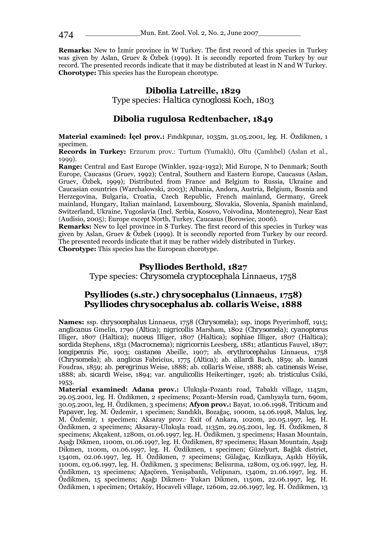**Remarks:** New to İzmir province in W Turkey. The first record of this species in Turkey was given by Aslan, Gruev & Özbek (1999). It is secondly reported from Turkey by our record. The presented records indicate that it may be distributed at least in N and W Turkey. **Chorotype:** This species has the European chorotype.

# *Dibolia* **Latreille, 1829**

Type species: *Haltica cynoglossi* Koch, 1803

### *Dibolia rugulosa* **Redtenbacher, 1849**

**Material examined: İçel prov.:** Fındıkpınar, 1035m, 31.05.2001, leg. H. Özdikmen, 1 specimen.

**Records in Turkey:** Erzurum prov.: Turtum (Yumaklı), Oltu (Çamlıbel) (Aslan et al., 1999).

**Range:** Central and East Europe (Winkler, 1924-1932); Mid Europe, N to Denmark; South Europe, Caucasus (Gruev, 1992); Central, Southern and Eastern Europe, Caucasus (Aslan, Gruev, Özbek, 1999); Distributed from France and Belgium to Russia, Ukraine and Caucasian countries (Warchalowski, 2003); Albania, Andora, Austria, Belgium, Bosnia and Herzegovina, Bulgaria, Croatia, Czech Republic, French mainland, Germany, Greek mainland, Hungary, Italian mainland, Luxembourg, Slovakia, Slovenia, Spanish mainland, Switzerland, Ukraine, Yugoslavia (Incl. Serbia, Kosovo, Voivodina, Montenegro), Near East (Audisio, 2005); Europe except North, Turkey, Caucasus (Borowiec, 2006).

**Remarks:** New to Icel province in S Turkey. The first record of this species in Turkey was given by Aslan, Gruev & Özbek (1999). It is secondly reported from Turkey by our record. The presented records indicate that it may be rather widely distributed in Turkey. **Chorotype:** This species has the European chorotype.

#### *Psylliodes* **Berthold, 1827**

Type species: *Chrysomela cryptocephala* Linnaeus, 1758

### *Psylliodes* **(s.str.)** *chrysocephalus* **(Linnaeus, 1758)**  *Psylliodes chrysocephalus ab. collaris* **Weise, 1888**

**Names:** ssp. *chrysocephalus* Linnaeus, 1758 (*Chrysomela*); ssp. *inops* Peyerimhoff, 1915; *anglicanus* Gmelin, 1790 (*Altica*); *nigricollis* Marsham, 1802 (*Chrysomela*); *cyanopterus*  Illiger, 1807 (*Haltica*); *nuceus* Illiger, 1807 (*Haltica*); *sophiae* Illiger, 1807 (*Haltica*); *sordida* Stephens, 1831 (*Macrocnema*); *nigricornis* Leesberg, 1881; *atlanticus* Fauvel, 1897; *longipennis* Pic, 1903; *castanea* Abeille, 1907; ab. *erythrocephalus* Linnaeus, 1758 (*Chrysomela*); ab. *anglicus* Fabricius, 1775 (*Altica*); ab. *allardi* Bach, 1859; ab. *kunzei*  Foudras, 1859; ab. *peregrinus* Weise, 1888; ab. *collaris* Weise, 1888; ab. *catinensis* Weise, 1888; ab. *sicardi* Weise, 1894; var. *angulicollis* Heikertinger, 1926; ab. *tristiculus* Csiki, 1953.

**Material examined: Adana prov.:** Ulukışla-Pozantı road, Tabaklı village, 1145m, 29.05.2001, leg. H. Özdikmen, 2 specimens; Pozantı-Mersin road, Çamlıyayla turn, 690m, 30.05.2001, leg. H. Özdikmen, 3 specimens; **Afyon prov.:** Bayat, 10.06.1998, *Triticum* and *Papaver,* leg. M. Özdemir, 1 specimen; Sandıklı, Bozağaç, 1000m, 14.06.1998, *Malus,* leg. M. Özdemir, 1 specimen; Aksaray prov.: Exit of Ankara, 1020m, 20.05.1997, leg. H. Özdikmen, 2 specimens; Aksaray-Ulukışla road, 1135m, 29.05.2001, leg. H. Özdikmen, 8 specimens; Akçakent, 1280m, 01.06.1997, leg. H. Özdikmen, 3 specimens; Hasan Mountain, Aşağı Dikmen, 1100m, 01.06.1997, leg. H. Özdikmen, 87 specimens; Hasan Mountain, Aşağı Dikmen, 1100m, 01.06.1997, leg. H. Özdikmen, 1 specimen; Güzelyurt, Bağlık district, 1340m, 02.06.1997, leg. H. Özdikmen, 7 specimens; Gülağaç, Kızılkaya, Aşıklı Höyük, 1100m, 03.06.1997, leg. H. Özdikmen, 3 specimens; Belisırma, 1280m, 03.06.1997, leg. H. Özdikmen, 13 specimens; Ağaçören, Yenişabanlı, Velipınarı, 1340m, 21.06.1997, leg. H. Özdikmen, 15 specimens; Aşağı Dikmen- Yukarı Dikmen, 1150m, 22.06.1997, leg. H. Özdikmen, 1 specimen; Ortaköy, Hocaveli village, 1260m, 22.06.1997, leg. H. Özdikmen, 13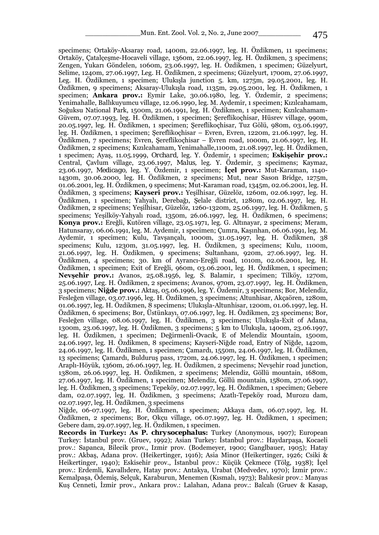specimens; Ortaköy-Aksaray road, 1400m, 22.06.1997, leg. H. Özdikmen, 11 specimens; Ortaköy, Çatalçeşme-Hocaveli village, 1360m, 22.06.1997, leg. H. Özdikmen, 3 specimens; Zengen, Yukarı Göndelen, 1060m, 23.06.1997, leg. H. Özdikmen, 1 specimen; Güzelyurt, Selime, 1240m, 27.06.1997, Leg. H. Özdikmen, 2 specimens; Güzelyurt, 1700m, 27.06.1997, Leg. H. Özdikmen, 1 specimen; Ulukışla junction 5. km, 1275m, 29.05.2001, leg. H. Özdikmen, 9 specimens; Aksaray-Ulukışla road, 1135m, 29.05.2001, leg. H. Özdikmen, 1 specimen; **Ankara prov.:** Eymir Lake, 30.06.1980, leg. Y. Özdemir, 2 specimens; Yenimahalle, Ballıkuyumcu village, 12.06.1990, leg. M. Aydemir, 1 specimen; Kızılcahamam, Soğuksu National Park, 1500m, 21.06.1991, leg. H. Özdikmen, 1 specimen; Kızılcahamam-Güvem, 07.07.1993, leg. H. Özdikmen, 1 specimen; Şereflikoçhisar, Hüsrev village, 990m, 20.05.1997, leg. H. Özdikmen, 1 specimen; Şereflikoçhisar, Tuz Gölü, 980m, 03.06.1997, leg. H. Özdikmen, 1 specimen; Şereflikoçhisar – Evren, Evren, 1220m, 21.06.1997, leg. H. Özdikmen, 7 specimens; Evren, Şereflikoçhisar – Evren road, 1000m, 21.06.1997, leg. H. Özdikmen, 2 specimens; Kızılcahamam, Yenimahalle,1100m, 21.08.1997, leg. H. Özdikmen, 1 specimen; Ayaş, 11.05.1999, *Orchard,* leg. Y. Özdemir, 1 specimen; **Eskişehir prov.:** Central, Çavlum village, 23.06.1997, *Malus,* leg. Y. Özdemir, 3 specimens; Kaymaz, 23.06.1997, *Medicago,* leg. Y. Özdemir, 1 specimen; **İçel prov.:** Mut-Karaman, 1140- 1430m, 30.06.2000, leg. H. Özdikmen, 2 specimens; Mut, near Sason Bridge, 1275m, 01.06.2001, leg. H. Özdikmen, 9 specimens; Mut-Karaman road, 1345m, 02.06.2001, leg. H. Özdikmen, 3 specimens; **Kayseri prov.:** Yeşilhisar, Güzelöz, 1260m, 02.06.1997, leg. H. Özdikmen, 1 specimen; Yahyalı, Derebağı, Şelale district, 1280m, 02.06.1997, leg. H. Özdikmen, 2 specimens; Yeşilhisar, Güzelöz, 1260-1320m, 25.06.1997, leg. H. Özdikmen, 5 specimens; Yeşilköy-Yahyalı road, 1350m, 26.06.1997, leg. H. Özdikmen, 6 specimens; **Konya prov.:** Ereğli, Kutören village, 23.05.1971, leg. G. Altınayar, 2 specimens; Meram, Hatunsaray, 06.06.1991, leg. M. Aydemir, 1 specimen; Çumra, Kaşınhan, 06.06.1991, leg. M. Aydemir, 1 specimen; Kulu, Tavşançalı, 1000m, 31.05.1997, leg. H. Özdikmen, 38 specimens; Kulu, 1230m, 31.05.1997, leg. H. Özdikmen, 3 specimens; Kulu, 1100m, 21.06.1997, leg. H. Özdikmen, 9 specimens; Sultanhanı, 920m, 27.06.1997, leg. H. Özdikmen, 4 specimens; 30. km of Ayrancı-Ereğli road, 1010m, 02.06.2001, leg. H. Özdikmen, 1 specimen; Exit of Ereğli, 960m, 03.06.2001, leg. H. Özdikmen, 1 specimen; **Nevşehir prov.:** Avanos, 25.08.1956, leg. S. Balamir, 1 specimen; Tilköy, 1270m, 25.06.1997, Leg. H. Özdikmen, 2 specimens; Avanos, 970m, 23.07.1997, leg. H. Özdikmen, 3 specimens; **Niğde prov.:** Aktaş, 05.06.1996, leg. Y. Özdemir, 3 specimens; Bor, Melendiz, Fesleğen village, 03.07.1996, leg. H. Özdikmen, 3 specimens; Altunhisar, Akçaören, 1280m, 01.06.1997, leg. H. Özdikmen, 8 specimens; Ulukışla-Altunhisar, 1200m, 01.06.1997, leg. H. Özdikmen, 6 specimens; Bor, Üstünkayı, 07.06.1997, leg. H. Özdikmen, 23 specimens; Bor, Fesleğen village, 08.06.1997, leg. H. Özdikmen, 3 specimens; Ulukışla-Exit of Adana, 1300m, 23.06.1997, leg. H. Özdikmen, 3 specimens; 5 km to Ulukışla, 1400m, 23.06.1997, leg. H. Özdikmen, 1 specimen; Değirmenli-Ovacık, E of Melendiz Mountain, 1500m, 24.06.1997, leg. H. Özdikmen, 8 specimens; Kayseri-Niğde road, Entry of Niğde, 1420m, 24.06.1997, leg. H. Özdikmen, 1 specimen; Çamardı, 1550m, 24.06.1997, leg. H. Özdikmen, 13 specimens; Çamardı, Bulduruş pass, 1720m, 24.06.1997, leg. H. Özdikmen, 1 specimen; Araplı-Höyük, 1360m, 26.06.1997, leg. H. Özdikmen, 2 specimens; Nevşehir road junction, 1380m, 26.06.1997, leg. H. Özdikmen, 2 specimens; Melendiz, Göllü mountain, 1680m, 27.06.1997, leg. H. Özdikmen, 1 specimen; Melendiz, Göllü mountain, 1580m, 27.06.1997, leg. H. Özdikmen, 3 specimens; Tepeköy, 02.07.1997, leg. H. Özdikmen, 1 specimen; Gebere dam, 02.07.1997, leg. H. Özdikmen, 3 specimens; Azatlı-Tepeköy road, Murozu dam, 02.07.1997, leg. H. Özdikmen, 3 specimens

Niğde, 06-07.1997, leg. H. Özdikmen, 1 specimen; Akkaya dam, 06.07.1997, leg. H. Özdikmen, 2 specimens; Bor, Okçu village, 06.07.1997, leg. H. Özdikmen, 1 specimen; Gebere dam, 29.07.1997, leg. H. Özdikmen, 1 specimen.

**Records in Turkey: As** *P. chrysocephalus:* Turkey (Anonymous, 1907); European Turkey: İstanbul prov. (Gruev, 1992); Asian Turkey: İstanbul prov.: Haydarpaşa, Kocaeli prov.: Sapanca, Bilecik prov., Izmir prov. (Bodemeyer, 1900; Ganglbauer, 1905); Hatay prov.: Akbaş, Adana prov. (Heikertinger, 1916); Asia Minor (Heikertinger, 1926; Csiki & Heikertinger, 1940); Eskisehir prov., İstanbul prov.: Küçük Çekmece (Tölg, 1938); İçel prov.: Erdemli, Kavallıdere, Hatay prov.: Antakya, Urabat (Medvedev, 1970); İzmir prov.: Kemalpaşa, Ödemiş, Selçuk, Karaburun, Menemen (Kısmalı, 1973); Balıkesir prov.: Manyas Kuş Cenneti, İzmir prov., Ankara prov.: Lalahan, Adana prov.: Balcalı (Gruev & Kasap,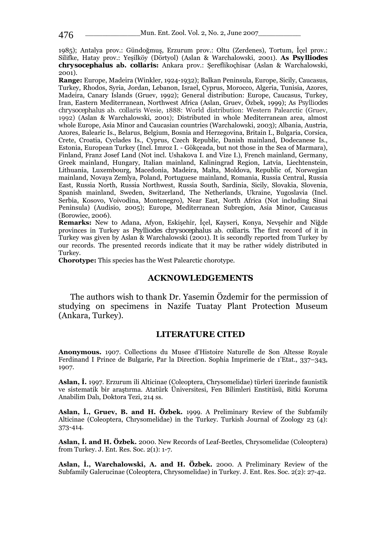1985); Antalya prov.: Gündoğmuş, Erzurum prov.: Oltu (Zerdenes), Tortum, İçel prov.: Silifke, Hatay prov.: Yeşilköy (Dörtyol) (Aslan & Warchalowski, 2001). **As** *Psylliodes chrysocephalus* **ab.** *collaris***:** Ankara prov.: Şereflikoçhisar (Aslan & Warchalowski, 2001).

**Range:** Europe, Madeira (Winkler, 1924-1932); Balkan Peninsula, Europe, Sicily, Caucasus, Turkey, Rhodos, Syria, Jordan, Lebanon, Israel, Cyprus, Morocco, Algeria, Tunisia, Azores, Madeira, Canary Islands (Gruev, 1992); General distribution: Europe, Caucasus, Turkey, Iran, Eastern Mediterranean, Northwest Africa (Aslan, Gruev, Özbek, 1999); As *Psylliodes chrysocephalus* ab. *collaris* Wesie, 1888: World distribution: Western Palearctic (Gruev, 1992) (Aslan & Warchalowski, 2001); Distributed in whole Mediterranean area, almost whole Europe, Asia Minor and Caucasian countries (Warchalowski, 2003); Albania, Austria, Azores, Balearic Is., Belarus, Belgium, Bosnia and Herzegovina, Britain I., Bulgaria, Corsica, Crete, Croatia, Cyclades Is., Cyprus, Czech Republic, Danish mainland, Dodecanese Is., Estonia, European Turkey (Incl. Imroz I. - Gökçeada, but not those in the Sea of Marmara), Finland, Franz Josef Land (Not incl. Ushakova I. and Vize I.), French mainland, Germany, Greek mainland, Hungary, Italian mainland, Kaliningrad Region, Latvia, Liechtenstein, Lithuania, Luxembourg, Macedonia, Madeira, Malta, Moldova, Republic of, Norwegian mainland, Novaya Zemlya, Poland, Portuguese mainland, Romania, Russia Central, Russia East, Russia North, Russia Northwest, Russia South, Sardinia, Sicily, Slovakia, Slovenia, Spanish mainland, Sweden, Switzerland, The Netherlands, Ukraine, Yugoslavia (Incl. Serbia, Kosovo, Voivodina, Montenegro), Near East, North Africa (Not including Sinai Peninsula) (Audisio, 2005); Europe, Mediterranean Subregion, Asia Minor, Caucasus (Borowiec, 2006).

**Remarks:** New to Adana, Afyon, Eskişehir, İçel, Kayseri, Konya, Nevşehir and Niğde provinces in Turkey as *Psylliodes chrysocephalus* ab. *collaris*. The first record of it in Turkey was given by Aslan & Warchalowski (2001). It is secondly reported from Turkey by our records. The presented records indicate that it may be rather widely distributed in Turkey.

**Chorotype:** This species has the West Palearctic chorotype.

#### **ACKNOWLEDGEMENTS**

 The authors wish to thank Dr. Yasemin Özdemir for the permission of studying on specimens in Nazife Tuatay Plant Protection Museum (Ankara, Turkey).

#### **LITERATURE CITED**

**Anonymous.** 1907. Collections du Musee d'Histoire Naturelle de Son Altesse Royale Ferdinand I Prince de Bulgarie, Par la Direction. Sophia Imprimerie de 1'Etat., 337–343, 1907.

**Aslan, İ.** 1997. Erzurum ili Alticinae (Coleoptera, Chrysomelidae) türleri üzerinde faunistik ve sistematik bir araştırma. Atatürk Üniversitesi, Fen Bilimleri Enstitüsü, Bitki Koruma Anabilim Dalı, Doktora Tezi, 214 ss.

**Aslan, İ., Gruev, B. and H. Özbek.** 1999. A Preliminary Review of the Subfamily Alticinae (Coleoptera, Chrysomelidae) in the Turkey. Turkish Journal of Zoology 23 (4): 373-414.

**Aslan, İ. and H. Özbek.** 2000. New Records of Leaf-Beetles, Chrysomelidae (Coleoptera) from Turkey. J. Ent. Res. Soc. 2(1): 1-7.

**Aslan, İ., Warchalowski, A. and H. Özbek.** 2000. A Preliminary Review of the Subfamily Galerucinae (Coleoptera, Chrysomelidae) in Turkey. J. Ent. Res. Soc. 2(2): 27-42.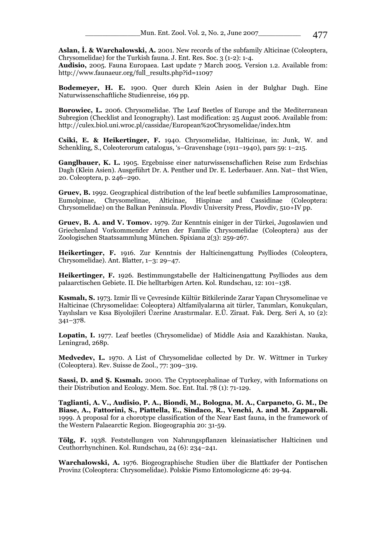**Aslan, İ. & Warchalowski, A.** 2001. New records of the subfamily Alticinae (Coleoptera, Chrysomelidae) for the Turkish fauna. J. Ent. Res. Soc. 3 (1-2): 1-4.

**Audisio,** 2005. Fauna Europaea. Last update 7 March 2005. Version 1.2. Available from: http://www.faunaeur.org/full\_results.php?id=11097

**Bodemeyer, H. E.** 1900. Quer durch Klein Asien in der Bulghar Dagh. Eine Naturwissenschaftliche Studienreise, 169 pp.

**Borowiec, L.** 2006. Chrysomelidae. The Leaf Beetles of Europe and the Mediterranean Subregion (Checklist and Iconography). Last modification: 25 August 2006. Available from: http://culex.biol.uni.wroc.pl/cassidae/European%20Chrysomelidae/index.htm

**Csiki, E. & Heikertinger, F.** 1940. Chrysomelidae, Halticinae, in: Junk, W. and Schenkling, S., Coleoterorum catalogus, 's–Gravenshage (1911–1940), pars 59: 1–215.

**Ganglbauer, K. L.** 1905. Ergebnisse einer naturwissenschaflichen Reise zum Erdschias Dagh (Klein Asien). Ausgeführt Dr. A. Penther und Dr. E. Lederbauer. Ann. Nat– thst Wien, 20. Coleoptera, p. 246–290.

**Gruev, B.** 1992. Geographical distribution of the leaf beetle subfamilies Lamprosomatinae, Eumolpinae, Chrysomelinae, Alticinae, Hispinae and Cassidinae (Coleoptera: Chrysomelidae) on the Balkan Peninsula. Plovdiv University Press, Plovdiv, 510+IV pp.

**Gruev, B. A. and V. Tomov.** 1979. Zur Kenntnis einiger in der Türkei, Jugoslawien und Griechenland Vorkommender Arten der Familie Chrysomelidae (Coleoptera) aus der Zoologischen Staatssammlung München. Spixiana 2(3): 259-267.

**Heikertinger, F.** 1916. Zur Kenntnis der Halticinengattung Psylliodes (Coleoptera, Chrysomelidae). Ant. Blatter, 1–3: 29–47.

**Heikertinger, F.** 1926. Bestimmungstabelle der Halticinengattung Psylliodes aus dem palaarctischen Gebiete. II. Die helltarbigen Arten. Kol. Rundschau, 12: 101–138.

**Kısmalı, S.** 1973. Izmir Ili ve Çevresinde Kültür Bitkilerinde Zarar Yapan Chrysomelinae ve Halticinae (Chrysomelidae: Coleoptera) Altfamilyalarına ait türler, Tanımları, Konukçuları, Yayılısları ve Kısa Biyolojileri Üzerine Arastırmalar. E.Ü. Ziraat. Fak. Derg. Seri A, 10 (2): 341–378.

**Lopatin, I.** 1977. Leaf beetles (Chrysomelidae) of Middle Asia and Kazakhistan. Nauka, Leningrad, 268p.

**Medvedev, L.** 1970. A List of Chrysomelidae collected by Dr. W. Wittmer in Turkey (Coleoptera). Rev. Suisse de Zool., 77: 309–319.

**Sassi, D. and Ş. Kısmalı.** 2000. The Cryptocephalinae of Turkey, with Informations on their Distribution and Ecology. Mem. Soc. Ent. Ital. 78 (1): 71-129.

**Taglianti, A. V., Audisio, P. A., Biondi, M., Bologna, M. A., Carpaneto, G. M., De Biase, A., Fattorini, S., Piattella, E., Sindaco, R., Venchi, A. and M. Zapparoli.**  1999. A proposal for a chorotype classification of the Near East fauna, in the framework of the Western Palaearctic Region. Biogeographia 20: 31-59.

**Tölg, F.** 1938. Feststellungen von Nahrungspflanzen kleinasiatischer Halticinen und Ceuthorrhynchinen. Kol. Rundschau, 24 (6): 234–241.

**Warchalowski, A.** 1976. Biogeographische Studien über die Blattkafer der Pontischen Provinz (Coleoptera: Chrysomelidae). Polskie Pismo Entomologiczne 46: 29-94.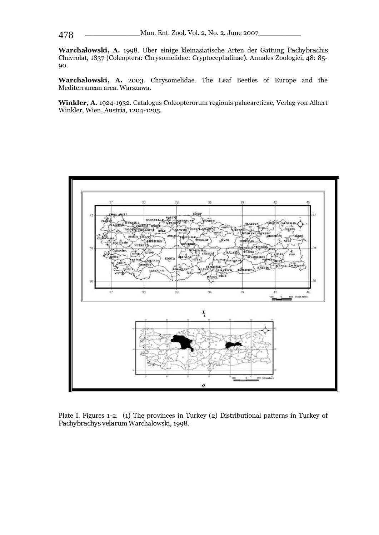**Warchałowski, A.** 1998. Uber einige kleinasiatische Arten der Gattung *Pachybrachis* Chevrolat, 1837 (Coleoptera: Chrysomelidae: Cryptocephalinae). Annales Zoologici, 48: 85- 90.

**Warchalowski, A.** 2003. Chrysomelidae. The Leaf Beetles of Europe and the Mediterranean area. Warszawa.

**Winkler, A.** 1924-1932. Catalogus Coleopterorum regionis palaearcticae, Verlag von Albert Winkler, Wien, Austria, 1204-1205.



Plate I. Figures 1-2. (1) The provinces in Turkey (2) Distributional patterns in Turkey of *Pachybrachys velarum* Warchalowski, 1998.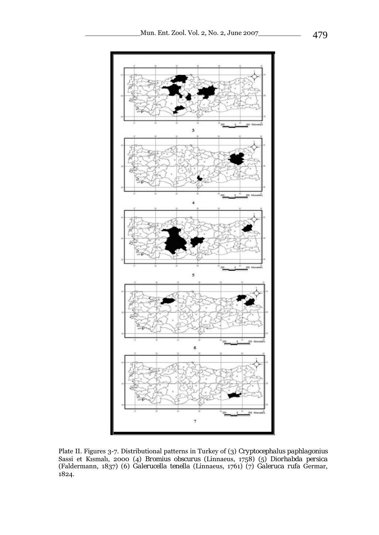

Plate II. Figures 3-7. Distributional patterns in Turkey of (3) *Cryptocephalus paphlagonius* Sassi et Kısmalı, 2000 (4) *Bromius obscurus* (Linnaeus, 1758) (5) *Diorhabda persica* (Faldermann, 1837) (6) *Galerucella tenella* (Linnaeus, 1761) (7) *Galeruca rufa* Germar, 1824.